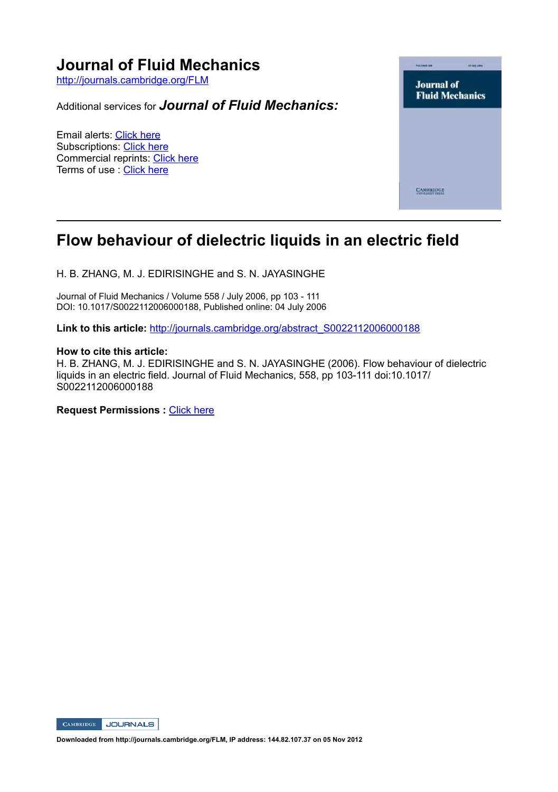

# **Flow behaviour of dielectric liquids in an electric field**

H. B. ZHANG, M. J. EDIRISINGHE and S. N. JAYASINGHE

Journal of Fluid Mechanics / Volume 558 / July 2006, pp 103 111 DOI: 10.1017/S0022112006000188, Published online: 04 July 2006

Link to this article: http://journals.cambridge.org/abstract\_S0022112006000188

#### **How to cite this article:**

H. B. ZHANG, M. J. EDIRISINGHE and S. N. JAYASINGHE (2006). Flow behaviour of dielectric liquids in an electric field. Journal of Fluid Mechanics, 558, pp 103-111 doi:10.1017/ S0022112006000188

**Request Permissions :** Click here



**Downloaded from http://journals.cambridge.org/FLM, IP address: 144.82.107.37 on 05 Nov 2012**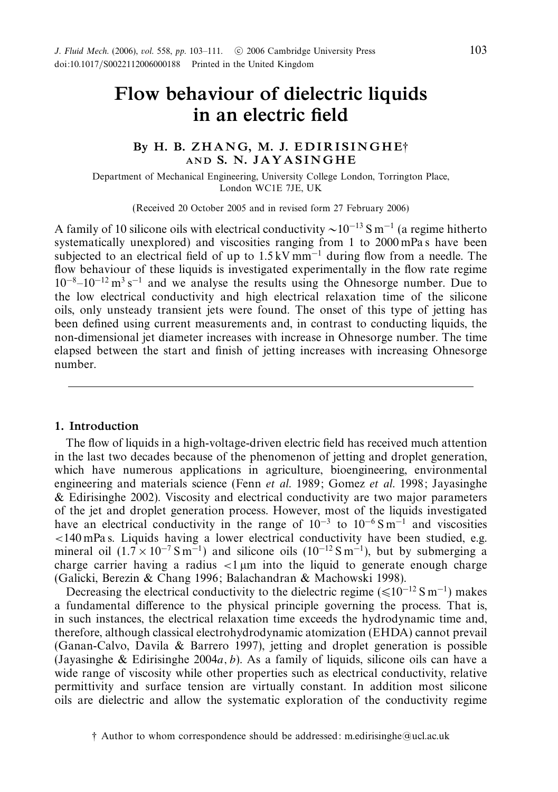# *Flow behaviour of dielectric liquids in an electric field*

# *By H. B. Z H A N G, M. J. E D I R I S I N G H E*† *AND S. N. J A Y A S I N G H E*

Department of Mechanical Engineering, University College London, Torrington Place, London WC1E 7JE, UK

(Received 20 October 2005 and in revised form 27 February 2006)

A family of 10 silicone oils with electrical conductivity  $\sim 10^{-13}$  S m<sup>-1</sup> (a regime hitherto systematically unexplored) and viscosities ranging from 1 to 2000 mPa s have been subjected to an electrical field of up to  $1.5 \text{ kV mm}^{-1}$  during flow from a needle. The flow behaviour of these liquids is investigated experimentally in the flow rate regime  $10^{-8}-10^{-12}$  m<sup>3</sup> s<sup>-1</sup> and we analyse the results using the Ohnesorge number. Due to the low electrical conductivity and high electrical relaxation time of the silicone oils, only unsteady transient jets were found. The onset of this type of jetting has been defined using current measurements and, in contrast to conducting liquids, the non-dimensional jet diameter increases with increase in Ohnesorge number. The time elapsed between the start and finish of jetting increases with increasing Ohnesorge number.

## *1. Introduction*

The flow of liquids in a high-voltage-driven electric field has received much attention in the last two decades because of the phenomenon of jetting and droplet generation, which have numerous applications in agriculture, bioengineering, environmental engineering and materials science (Fenn *et al.* 1989; Gomez *et al.* 1998; Jayasinghe & Edirisinghe 2002). Viscosity and electrical conductivity are two major parameters of the jet and droplet generation process. However, most of the liquids investigated have an electrical conductivity in the range of  $10^{-3}$  to  $10^{-6}$  S m<sup>-1</sup> and viscosities *<*140 mPa s. Liquids having a lower electrical conductivity have been studied, e.g. mineral oil  $(1.7 \times 10^{-7} \text{ S m}^{-1})$  and silicone oils  $(10^{-12} \text{ S m}^{-1})$ , but by submerging a charge carrier having a radius *<*1 µm into the liquid to generate enough charge (Galicki, Berezin & Chang 1996; Balachandran & Machowski 1998).

Decreasing the electrical conductivity to the dielectric regime ( $\leq 10^{-12} S m^{-1}$ ) makes a fundamental difference to the physical principle governing the process. That is, in such instances, the electrical relaxation time exceeds the hydrodynamic time and, therefore, although classical electrohydrodynamic atomization (EHDA) cannot prevail (Ganan-Calvo, Davila & Barrero 1997), jetting and droplet generation is possible (Jayasinghe & Edirisinghe 2004*a, b*). As a family of liquids, silicone oils can have a wide range of viscosity while other properties such as electrical conductivity, relative permittivity and surface tension are virtually constant. In addition most silicone oils are dielectric and allow the systematic exploration of the conductivity regime

<sup>†</sup> Author to whom correspondence should be addressed: m.edirisinghe@ucl.ac.uk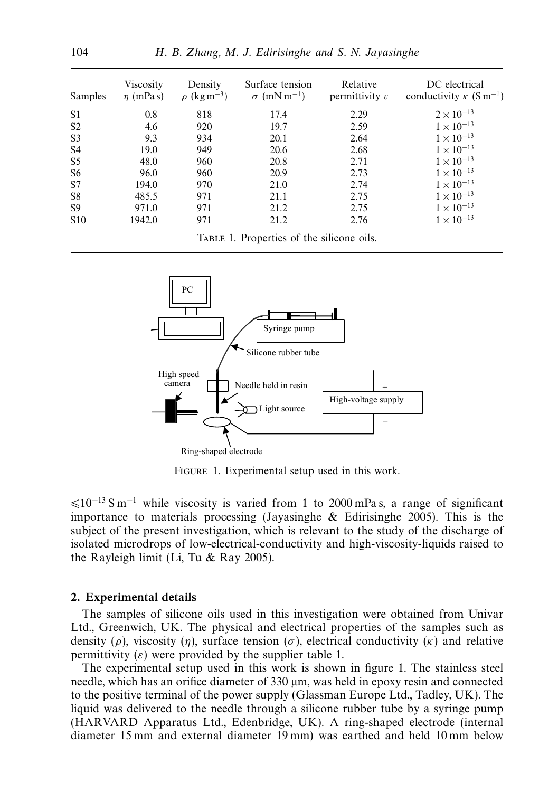| Samples         | Viscosity<br>$\eta$ (mPas) | Density<br>$\rho$ (kg m <sup>-3</sup> )   | Surface tension<br>$\sigma$ (mN m <sup>-1</sup> ) | Relative<br>permittivity $\varepsilon$ | DC electrical<br>conductivity $\kappa$ (S m <sup>-1</sup> ) |
|-----------------|----------------------------|-------------------------------------------|---------------------------------------------------|----------------------------------------|-------------------------------------------------------------|
| S <sub>1</sub>  | 0.8                        | 818                                       | 17.4                                              | 2.29                                   | $2 \times 10^{-13}$                                         |
| S <sub>2</sub>  | 4.6                        | 920                                       | 19.7                                              | 2.59                                   | $1 \times 10^{-13}$                                         |
| S <sub>3</sub>  | 9.3                        | 934                                       | 20.1                                              | 2.64                                   | $1 \times 10^{-13}$                                         |
| S <sub>4</sub>  | 19.0                       | 949                                       | 20.6                                              | 2.68                                   | $1 \times 10^{-13}$                                         |
| S <sub>5</sub>  | 48.0                       | 960                                       | 20.8                                              | 2.71                                   | $1 \times 10^{-13}$                                         |
| S <sub>6</sub>  | 96.0                       | 960                                       | 20.9                                              | 2.73                                   | $1 \times 10^{-13}$                                         |
| S7              | 194.0                      | 970                                       | 21.0                                              | 2.74                                   | $1 \times 10^{-13}$                                         |
| S8              | 485.5                      | 971                                       | 21.1                                              | 2.75                                   | $1 \times 10^{-13}$                                         |
| S <sub>9</sub>  | 971.0                      | 971                                       | 21.2                                              | 2.75                                   | $1 \times 10^{-13}$                                         |
| S <sub>10</sub> | 1942.0                     | 971                                       | 21.2                                              | 2.76                                   | $1 \times 10^{-13}$                                         |
|                 |                            | TABLE 1. Properties of the silicone oils. |                                                   |                                        |                                                             |



FIGURE 1. Experimental setup used in this work.

 $\leq 10^{-13}$  S m<sup>-1</sup> while viscosity is varied from 1 to 2000 mPa s, a range of significant importance to materials processing (Jayasinghe & Edirisinghe 2005). This is the subject of the present investigation, which is relevant to the study of the discharge of isolated microdrops of low-electrical-conductivity and high-viscosity-liquids raised to the Rayleigh limit (Li, Tu & Ray 2005).

## *2. Experimental details*

The samples of silicone oils used in this investigation were obtained from Univar Ltd., Greenwich, UK. The physical and electrical properties of the samples such as density ( $\rho$ ), viscosity ( $\eta$ ), surface tension ( $\sigma$ ), electrical conductivity ( $\kappa$ ) and relative permittivity  $(\varepsilon)$  were provided by the supplier table 1.

The experimental setup used in this work is shown in figure 1. The stainless steel needle, which has an orifice diameter of 330  $\mu$ m, was held in epoxy resin and connected to the positive terminal of the power supply (Glassman Europe Ltd., Tadley, UK). The liquid was delivered to the needle through a silicone rubber tube by a syringe pump (HARVARD Apparatus Ltd., Edenbridge, UK). A ring-shaped electrode (internal diameter 15 mm and external diameter 19 mm) was earthed and held 10 mm below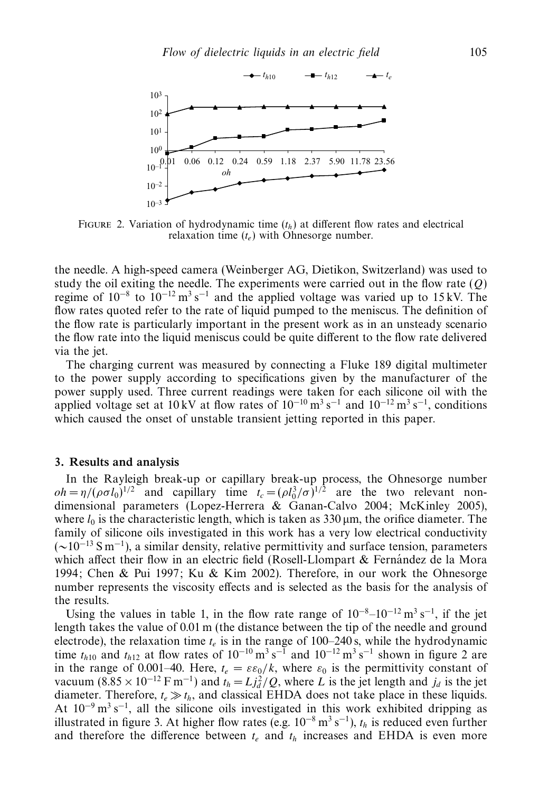

FIGURE 2. Variation of hydrodynamic time  $(t_h)$  at different flow rates and electrical relaxation time (*te*) with Ohnesorge number.

the needle. A high-speed camera (Weinberger AG, Dietikon, Switzerland) was used to study the oil exiting the needle. The experiments were carried out in the flow rate (*Q*) regime of  $10^{-8}$  to  $10^{-12}$  m<sup>3</sup> s<sup>-1</sup> and the applied voltage was varied up to 15 kV. The flow rates quoted refer to the rate of liquid pumped to the meniscus. The definition of the flow rate is particularly important in the present work as in an unsteady scenario the flow rate into the liquid meniscus could be quite different to the flow rate delivered via the jet.

The charging current was measured by connecting a Fluke 189 digital multimeter to the power supply according to specifications given by the manufacturer of the power supply used. Three current readings were taken for each silicone oil with the applied voltage set at 10 kV at flow rates of  $10^{-10}$  m<sup>3</sup> s<sup>-1</sup> and  $10^{-12}$  m<sup>3</sup> s<sup>-1</sup>, conditions which caused the onset of unstable transient jetting reported in this paper.

### *3. Results and analysis*

In the Rayleigh break-up or capillary break-up process, the Ohnesorge number  $oh = \eta/(\rho \sigma l_0)^{1/2}$  and capillary time  $t_c = (\rho l_0^3/\sigma)^{1/2}$  are the two relevant nondimensional parameters (Lopez-Herrera & Ganan-Calvo 2004; McKinley 2005), where  $l_0$  is the characteristic length, which is taken as  $330 \,\mu m$ , the orifice diameter. The family of silicone oils investigated in this work has a very low electrical conductivity  $({\sim}10^{-13} \text{ S m}^{-1})$ , a similar density, relative permittivity and surface tension, parameters which affect their flow in an electric field (Rosell-Llompart  $\&$  Fernandez de la Mora 1994; Chen & Pui 1997; Ku & Kim 2002). Therefore, in our work the Ohnesorge number represents the viscosity effects and is selected as the basis for the analysis of the results.

Using the values in table 1, in the flow rate range of  $10^{-8}-10^{-12}$  m<sup>3</sup> s<sup>-1</sup>, if the jet length takes the value of 0.01 m (the distance between the tip of the needle and ground electrode), the relaxation time *te* is in the range of 100–240 s, while the hydrodynamic time  $t_{h10}$  and  $t_{h12}$  at flow rates of 10<sup>-10</sup> m<sup>3</sup> s<sup>-1</sup> and 10<sup>-12</sup> m<sup>3</sup> s<sup>-1</sup> shown in figure 2 are in the range of 0.001–40. Here,  $t_e = \varepsilon \varepsilon_0 / k$ , where  $\varepsilon_0$  is the permittivity constant of vacuum  $(8.85 \times 10^{-12} \text{ F m}^{-1})$  and  $t_h = Lj_d^2/Q$ , where *L* is the jet length and  $j_d$  is the jet diameter. Therefore,  $t_e \gg t_h$ , and classical EHDA does not take place in these liquids. At  $10^{-9}$  m<sup>3</sup> s<sup>-1</sup>, all the silicone oils investigated in this work exhibited dripping as illustrated in figure 3. At higher flow rates (e.g.  $10^{-8}$  m<sup>3</sup> s<sup>-1</sup>),  $t_h$  is reduced even further and therefore the difference between  $t_e$  and  $t_h$  increases and EHDA is even more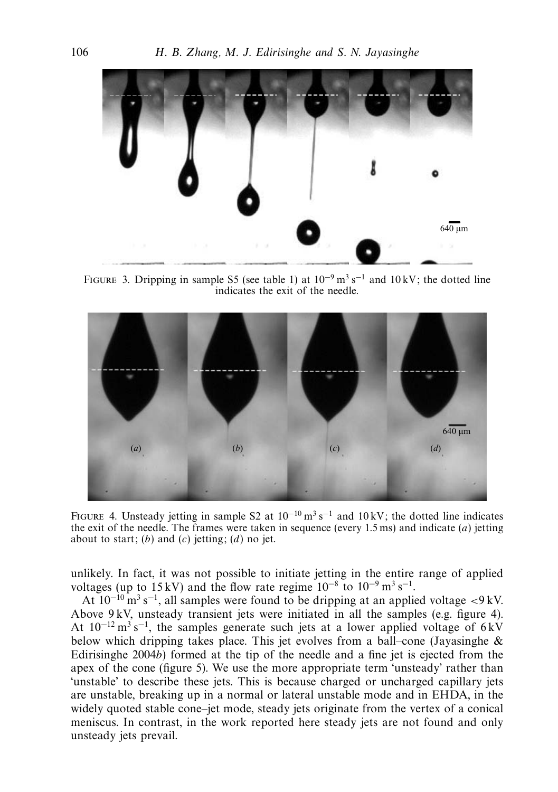

FIGURE 3. Dripping in sample S5 (see table 1) at  $10^{-9}$  m<sup>3</sup> s<sup>-1</sup> and  $10$  kV; the dotted line indicates the exit of the needle.



FIGURE 4. Unsteady jetting in sample S2 at  $10^{-10}$  m<sup>3</sup> s<sup>-1</sup> and  $10 \text{ kV}$ ; the dotted line indicates the exit of the needle. The frames were taken in sequence (every 1.5 ms) and indicate (*a*) jetting about to start; (*b*) and (*c*) jetting; (*d*) no jet.

unlikely. In fact, it was not possible to initiate jetting in the entire range of applied voltages (up to 15 kV) and the flow rate regime  $10^{-8}$  to  $10^{-9}$  m<sup>3</sup> s<sup>-1</sup>.

At 10−<sup>10</sup> m3 s−1, all samples were found to be dripping at an applied voltage *<*9 kV. Above 9 kV, unsteady transient jets were initiated in all the samples (e.g. figure 4). At  $10^{-12}$  m<sup>3</sup> s<sup>-1</sup>, the samples generate such jets at a lower applied voltage of 6 kV below which dripping takes place. This jet evolves from a ball–cone (Jayasinghe  $\&$ Edirisinghe 2004*b*) formed at the tip of the needle and a fine jet is ejected from the apex of the cone (figure 5). We use the more appropriate term 'unsteady' rather than 'unstable' to describe these jets. This is because charged or uncharged capillary jets are unstable, breaking up in a normal or lateral unstable mode and in EHDA, in the widely quoted stable cone–jet mode, steady jets originate from the vertex of a conical meniscus. In contrast, in the work reported here steady jets are not found and only unsteady jets prevail.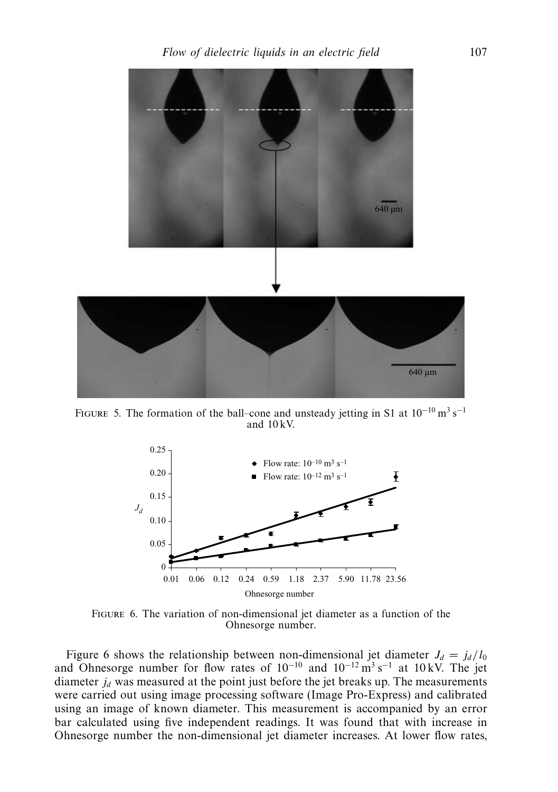

FIGURE 5. The formation of the ball–cone and unsteady jetting in S1 at  $10^{-10}$  m<sup>3</sup> s<sup>-1</sup> and 10 kV.



Figure 6. The variation of non-dimensional jet diameter as a function of the Ohnesorge number.

Figure 6 shows the relationship between non-dimensional jet diameter  $J_d = j_d/l_0$ and Ohnesorge number for flow rates of  $10^{-10}$  and  $10^{-12}$  m<sup>3</sup> s<sup>-1</sup> at 10 kV. The jet diameter  $j_d$  was measured at the point just before the jet breaks up. The measurements were carried out using image processing software (Image Pro-Express) and calibrated using an image of known diameter. This measurement is accompanied by an error bar calculated using five independent readings. It was found that with increase in Ohnesorge number the non-dimensional jet diameter increases. At lower flow rates,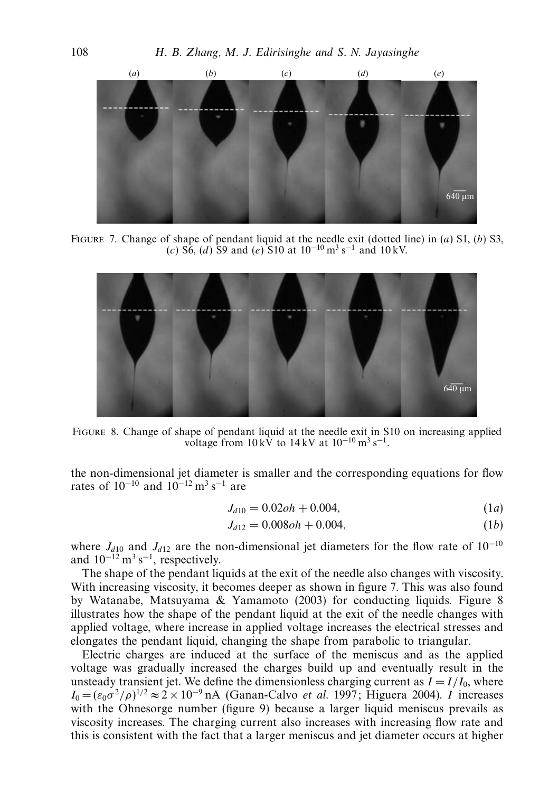

Figure 7. Change of shape of pendant liquid at the needle exit (dotted line) in (*a*) S1, (*b*) S3, (*c*) S6, (*d*) S9 and (*e*) S10 at 10−<sup>10</sup> m3 s−<sup>1</sup> and 10 kV.



Figure 8. Change of shape of pendant liquid at the needle exit in S10 on increasing applied voltage from  $10 \text{ kV}$  to  $14 \text{ kV}$  at  $10^{-10} \text{ m}^3 \text{ s}^{-1}$ .

the non-dimensional jet diameter is smaller and the corresponding equations for flow rates of  $10^{-10}$  and  $10^{-12}$  m<sup>3</sup> s<sup>-1</sup> are

$$
J_{d10} = 0.02oh + 0.004, \tag{1a}
$$

$$
J_{d12} = 0.008oh + 0.004, \tag{1b}
$$

where  $J_{d10}$  and  $J_{d12}$  are the non-dimensional jet diameters for the flow rate of 10<sup>-10</sup> and  $10^{-12}$  m<sup>3</sup> s<sup>-1</sup>, respectively.

The shape of the pendant liquids at the exit of the needle also changes with viscosity. With increasing viscosity, it becomes deeper as shown in figure 7. This was also found by Watanabe, Matsuyama & Yamamoto (2003) for conducting liquids. Figure 8 illustrates how the shape of the pendant liquid at the exit of the needle changes with applied voltage, where increase in applied voltage increases the electrical stresses and elongates the pendant liquid, changing the shape from parabolic to triangular.

Electric charges are induced at the surface of the meniscus and as the applied voltage was gradually increased the charges build up and eventually result in the unsteady transient jet. We define the dimensionless charging current as  $I = I/I_0$ , where  $I_0 = (\varepsilon_0 \sigma^2 / \rho)^{1/2} \approx 2 \times 10^{-9}$  nA (Ganan-Calvo *et al.* 1997; Higuera 2004). *I* increases with the Ohnesorge number (figure 9) because a larger liquid meniscus prevails as viscosity increases. The charging current also increases with increasing flow rate and this is consistent with the fact that a larger meniscus and jet diameter occurs at higher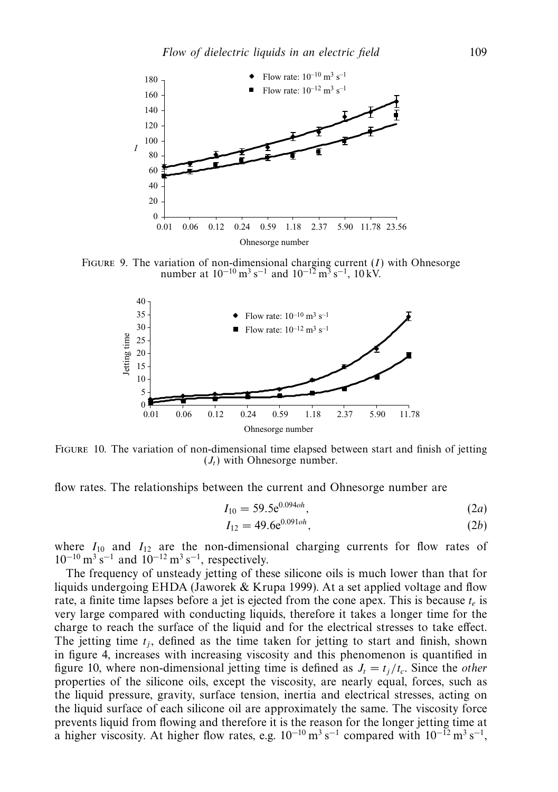

FIGURE 9. The variation of non-dimensional charging current  $(I)$  with Ohnesorge number at  $10^{-10}$  m<sup>3</sup> s<sup>-1</sup> and  $10^{-12}$  m<sup>3</sup> s<sup>-1</sup>,  $10 \text{ kV}$ .



Figure 10. The variation of non-dimensional time elapsed between start and finish of jetting  $(J_t)$  with Ohnesorge number.

flow rates. The relationships between the current and Ohnesorge number are

$$
I_{10} = 59.5e^{0.094oh}, \t\t(2a)
$$

$$
I_{12} = 49.6e^{0.091oh},\tag{2b}
$$

where  $I_{10}$  and  $I_{12}$  are the non-dimensional charging currents for flow rates of  $10^{-10}$  m<sup>3</sup> s<sup>-1</sup> and  $10^{-12}$  m<sup>3</sup> s<sup>-1</sup>, respectively.

The frequency of unsteady jetting of these silicone oils is much lower than that for liquids undergoing EHDA (Jaworek & Krupa 1999). At a set applied voltage and flow rate, a finite time lapses before a jet is ejected from the cone apex. This is because  $t_e$  is very large compared with conducting liquids, therefore it takes a longer time for the charge to reach the surface of the liquid and for the electrical stresses to take effect. The jetting time  $t_i$ , defined as the time taken for jetting to start and finish, shown in figure 4, increases with increasing viscosity and this phenomenon is quantified in figure 10, where non-dimensional jetting time is defined as  $J_t = t_i/t_c$ . Since the *other* properties of the silicone oils, except the viscosity, are nearly equal, forces, such as the liquid pressure, gravity, surface tension, inertia and electrical stresses, acting on the liquid surface of each silicone oil are approximately the same. The viscosity force prevents liquid from flowing and therefore it is the reason for the longer jetting time at a higher viscosity. At higher flow rates, e.g.  $10^{-10}$  m<sup>3</sup> s<sup>-1</sup> compared with  $10^{-12}$  m<sup>3</sup> s<sup>-1</sup>,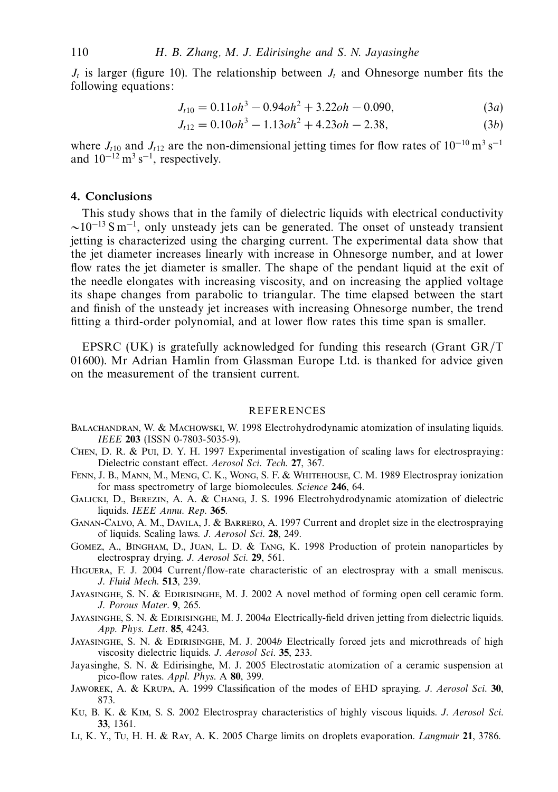*J<sub>t</sub>* is larger (figure 10). The relationship between *J<sub>t</sub>* and Ohnesorge number fits the following equations:

$$
J_{t10} = 0.11 \text{oh}^3 - 0.94 \text{oh}^2 + 3.22 \text{oh} - 0.090,\tag{3a}
$$

$$
J_{t12} = 0.10oh3 - 1.13oh2 + 4.23oh - 2.38,
$$
 (3b)

where  $J_{t10}$  and  $J_{t12}$  are the non-dimensional jetting times for flow rates of 10<sup>-10</sup> m<sup>3</sup> s<sup>-1</sup> and  $10^{-12}$  m<sup>3</sup> s<sup>-1</sup>, respectively.

# *4. Conclusions*

This study shows that in the family of dielectric liquids with electrical conductivity  $\sim$ 10<sup>-13</sup> S m<sup>-1</sup>, only unsteady jets can be generated. The onset of unsteady transient jetting is characterized using the charging current. The experimental data show that the jet diameter increases linearly with increase in Ohnesorge number, and at lower flow rates the jet diameter is smaller. The shape of the pendant liquid at the exit of the needle elongates with increasing viscosity, and on increasing the applied voltage its shape changes from parabolic to triangular. The time elapsed between the start and finish of the unsteady jet increases with increasing Ohnesorge number, the trend fitting a third-order polynomial, and at lower flow rates this time span is smaller.

EPSRC (UK) is gratefully acknowledged for funding this research (Grant  $GR/T$ ) 01600). Mr Adrian Hamlin from Glassman Europe Ltd. is thanked for advice given on the measurement of the transient current.

### REFERENCES

- BALACHANDRAN, W. & MACHOWSKI, W. 1998 Electrohydrodynamic atomization of insulating liquids. IEEE **203** (ISSN 0-7803-5035-9).
- Chen, D. R. & Pui, D. Y. H. 1997 Experimental investigation of scaling laws for electrospraying: Dielectric constant effect. Aerosol Sci. Tech. **27**, 367.
- Fenn, J. B., Mann, M., Meng, C. K., Wong, S. F. & Whitehouse, C. M. 1989 Electrospray ionization for mass spectrometry of large biomolecules. Science **246**, 64.
- Galicki, D., Berezin, A. A. & Chang, J. S. 1996 Electrohydrodynamic atomization of dielectric liquids. IEEE Annu. Rep. **365**.
- Ganan-Calvo, A. M., Davila, J. & Barrero, A. 1997 Current and droplet size in the electrospraying of liquids. Scaling laws. J. Aerosol Sci. **28**, 249.
- Gomez, A., Bingham, D., Juan, L. D. & Tang, K. 1998 Production of protein nanoparticles by electrospray drying. J. Aerosol Sci. **29**, 561.
- Higuera, F. J. 2004 Current/flow-rate characteristic of an electrospray with a small meniscus. J. Fluid Mech. **513**, 239.
- Jayasinghe, S. N. & Edirisinghe, M. J. 2002 A novel method of forming open cell ceramic form. J. Porous Mater. **9**, 265.
- JAYASINGHE, S. N. & EDIRISINGHE, M. J. 2004*a* Electrically-field driven jetting from dielectric liquids. App. Phys. Lett. **85**, 4243.
- JAYASINGHE, S. N. & EDIRISINGHE, M. J. 2004*b* Electrically forced jets and microthreads of high viscosity dielectric liquids. J. Aerosol Sci. **35**, 233.
- Jayasinghe, S. N. & Edirisinghe, M. J. 2005 Electrostatic atomization of a ceramic suspension at pico-flow rates. Appl. Phys. A **80**, 399.
- Jaworek, A. & Krupa, A. 1999 Classification of the modes of EHD spraying. J. Aerosol Sci. **30**, 873.
- Ku, B. K. & Kim, S. S. 2002 Electrospray characteristics of highly viscous liquids. J. Aerosol Sci. **33**, 1361.
- Li, K. Y., Tu, H. H. & Ray, A. K. 2005 Charge limits on droplets evaporation. Langmuir **21**, 3786.